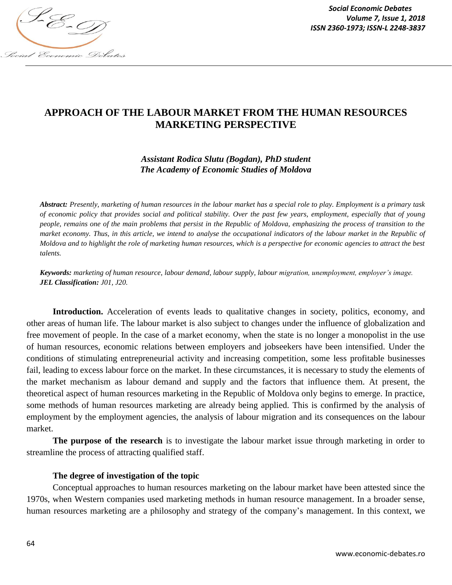

*Social Economic Debates Volume 7, Issue 1, 2018*

# **APPROACH OF THE LABOUR MARKET FROM THE HUMAN RESOURCES MARKETING PERSPECTIVE**

# *Assistant Rodica Slutu (Bogdan), PhD student The Academy of Economic Studies of Moldova*

*Abstract: Presently, marketing of human resources in the labour market has a special role to play. Employment is a primary task of economic policy that provides social and political stability. Over the past few years, employment, especially that of young people, remains one of the main problems that persist in the Republic of Moldova, emphasizing the process of transition to the market economy. Thus, in this article, we intend to analyse the occupational indicators of the labour market in the Republic of Moldova and to highlight the role of marketing human resources, which is a perspective for economic agencies to attract the best talents.*

*Keywords: marketing of human resource, labour demand, labour supply, labour migration, unemployment, employer's image. JEL Classification: J01, J20.*

**Introduction.** Acceleration of events leads to qualitative changes in society, politics, economy, and other areas of human life. The labour market is also subject to changes under the influence of globalization and free movement of people. In the case of a market economy, when the state is no longer a monopolist in the use of human resources, economic relations between employers and jobseekers have been intensified. Under the conditions of stimulating entrepreneurial activity and increasing competition, some less profitable businesses fail, leading to excess labour force on the market. In these circumstances, it is necessary to study the elements of the market mechanism as labour demand and supply and the factors that influence them. At present, the theoretical aspect of human resources marketing in the Republic of Moldova only begins to emerge. In practice, some methods of human resources marketing are already being applied. This is confirmed by the analysis of employment by the employment agencies, the analysis of labour migration and its consequences on the labour market.

**The purpose of the research** is to investigate the labour market issue through marketing in order to streamline the process of attracting qualified staff.

### **The degree of investigation of the topic**

Conceptual approaches to human resources marketing on the labour market have been attested since the 1970s, when Western companies used marketing methods in human resource management. In a broader sense, human resources marketing are a philosophy and strategy of the company's management. In this context, we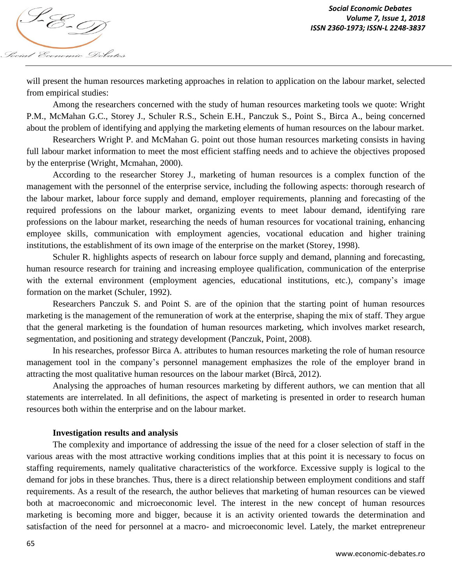

will present the human resources marketing approaches in relation to application on the labour market, selected from empirical studies:

Among the researchers concerned with the study of human resources marketing tools we quote: Wright P.M., McMahan G.C., Storey J., Schuler R.S., Schein E.H., Panczuk S., Point S., Birca A., being concerned about the problem of identifying and applying the marketing elements of human resources on the labour market.

Researchers Wright P. and McMahan G. point out those human resources marketing consists in having full labour market information to meet the most efficient staffing needs and to achieve the objectives proposed by the enterprise (Wright, Mcmahan, 2000).

According to the researcher Storey J., marketing of human resources is a complex function of the management with the personnel of the enterprise service, including the following aspects: thorough research of the labour market, labour force supply and demand, employer requirements, planning and forecasting of the required professions on the labour market, organizing events to meet labour demand, identifying rare professions on the labour market, researching the needs of human resources for vocational training, enhancing employee skills, communication with employment agencies, vocational education and higher training institutions, the establishment of its own image of the enterprise on the market (Storey, 1998).

Schuler R. highlights aspects of research on labour force supply and demand, planning and forecasting, human resource research for training and increasing employee qualification, communication of the enterprise with the external environment (employment agencies, educational institutions, etc.), company's image formation on the market (Schuler, 1992).

Researchers Panczuk S. and Point S. are of the opinion that the starting point of human resources marketing is the management of the remuneration of work at the enterprise, shaping the mix of staff. They argue that the general marketing is the foundation of human resources marketing, which involves market research, segmentation, and positioning and strategy development (Panczuk, Point, 2008).

In his researches, professor Birca A. attributes to human resources marketing the role of human resource management tool in the company's personnel management emphasizes the role of the employer brand in attracting the most qualitative human resources on the labour market (Bîrcă, 2012).

Analysing the approaches of human resources marketing by different authors, we can mention that all statements are interrelated. In all definitions, the aspect of marketing is presented in order to research human resources both within the enterprise and on the labour market.

# **Investigation results and analysis**

The complexity and importance of addressing the issue of the need for a closer selection of staff in the various areas with the most attractive working conditions implies that at this point it is necessary to focus on staffing requirements, namely qualitative characteristics of the workforce. Excessive supply is logical to the demand for jobs in these branches. Thus, there is a direct relationship between employment conditions and staff requirements. As a result of the research, the author believes that marketing of human resources can be viewed both at macroeconomic and microeconomic level. The interest in the new concept of human resources marketing is becoming more and bigger, because it is an activity oriented towards the determination and satisfaction of the need for personnel at a macro- and microeconomic level. Lately, the market entrepreneur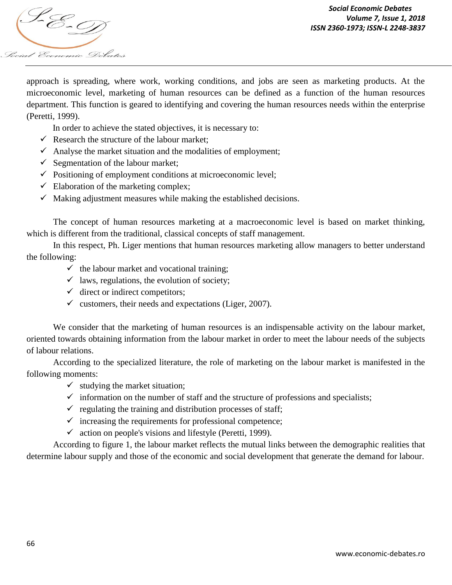

*Social Economic Debates Volume 7, Issue 1, 2018*

approach is spreading, where work, working conditions, and jobs are seen as marketing products. At the microeconomic level, marketing of human resources can be defined as a function of the human resources department. This function is geared to identifying and covering the human resources needs within the enterprise (Peretti, 1999).

In order to achieve the stated objectives, it is necessary to:

- $\checkmark$  Research the structure of the labour market;
- $\checkmark$  Analyse the market situation and the modalities of employment;
- $\checkmark$  Segmentation of the labour market;
- $\checkmark$  Positioning of employment conditions at microeconomic level;
- $\checkmark$  Elaboration of the marketing complex;
- $\checkmark$  Making adjustment measures while making the established decisions.

The concept of human resources marketing at a macroeconomic level is based on market thinking, which is different from the traditional, classical concepts of staff management.

In this respect, Ph. Liger mentions that human resources marketing allow managers to better understand the following:

- $\checkmark$  the labour market and vocational training;
- $\checkmark$  laws, regulations, the evolution of society;
- $\checkmark$  direct or indirect competitors;
- $\checkmark$  customers, their needs and expectations (Liger, 2007).

We consider that the marketing of human resources is an indispensable activity on the labour market, oriented towards obtaining information from the labour market in order to meet the labour needs of the subjects of labour relations.

According to the specialized literature, the role of marketing on the labour market is manifested in the following moments:

- $\checkmark$  studying the market situation;
- $\checkmark$  information on the number of staff and the structure of professions and specialists;
- $\checkmark$  regulating the training and distribution processes of staff;
- $\checkmark$  increasing the requirements for professional competence;
- $\checkmark$  action on people's visions and lifestyle (Peretti, 1999).

According to figure 1, the labour market reflects the mutual links between the demographic realities that determine labour supply and those of the economic and social development that generate the demand for labour.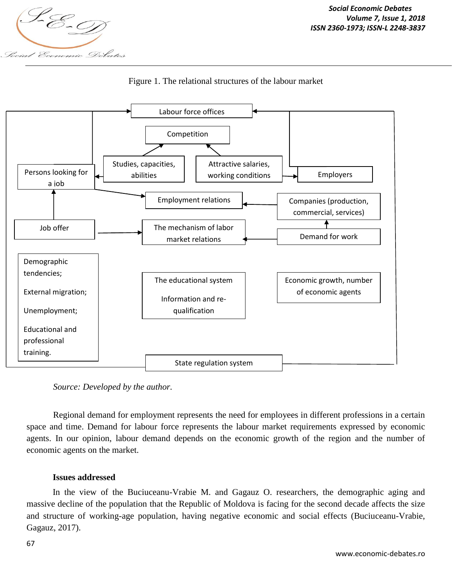



Figure 1. The relational structures of the labour market

*Source: Developed by the author.*

Regional demand for employment represents the need for employees in different professions in a certain space and time. Demand for labour force represents the labour market requirements expressed by economic agents. In our opinion, labour demand depends on the economic growth of the region and the number of economic agents on the market.

### **Issues addressed**

In the view of the Buciuceanu-Vrabie M. and Gagauz O. researchers, the demographic aging and massive decline of the population that the Republic of Moldova is facing for the second decade affects the size and structure of working-age population, having negative economic and social effects (Buciuceanu-Vrabie, Gagauz, 2017).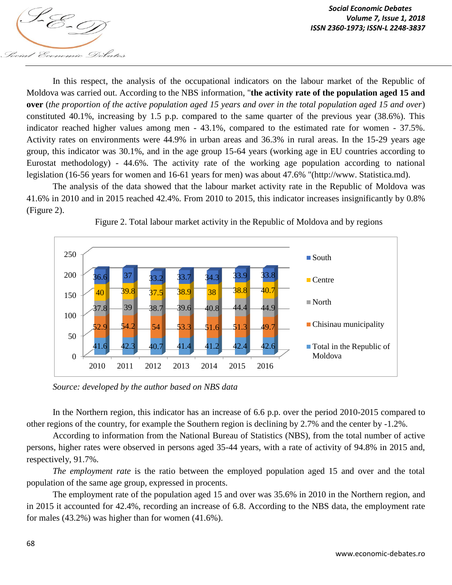

In this respect, the analysis of the occupational indicators on the labour market of the Republic of Moldova was carried out. According to the NBS information, "**the activity rate of the population aged 15 and over** (*the proportion of the active population aged 15 years and over in the total population aged 15 and over*) constituted 40.1%, increasing by 1.5 p.p. compared to the same quarter of the previous year (38.6%). This indicator reached higher values among men - 43.1%, compared to the estimated rate for women - 37.5%. Activity rates on environments were 44.9% in urban areas and 36.3% in rural areas. In the 15-29 years age group, this indicator was 30.1%, and in the age group 15-64 years (working age in EU countries according to Eurostat methodology) - 44.6%. The activity rate of the working age population according to national legislation (16-56 years for women and 16-61 years for men) was about 47.6% "(http://www. Statistica.md).

The analysis of the data showed that the labour market activity rate in the Republic of Moldova was 41.6% in 2010 and in 2015 reached 42.4%. From 2010 to 2015, this indicator increases insignificantly by 0.8% (Figure 2).



Figure 2. Total labour market activity in the Republic of Moldova and by regions

*Source: developed by the author based on NBS data* 

In the Northern region, this indicator has an increase of 6.6 p.p. over the period 2010-2015 compared to other regions of the country, for example the Southern region is declining by 2.7% and the center by -1.2%.

According to information from the National Bureau of Statistics (NBS), from the total number of active persons, higher rates were observed in persons aged 35-44 years, with a rate of activity of 94.8% in 2015 and, respectively, 91.7%.

*The employment rate* is the ratio between the employed population aged 15 and over and the total population of the same age group, expressed in procents.

The employment rate of the population aged 15 and over was 35.6% in 2010 in the Northern region, and in 2015 it accounted for 42.4%, recording an increase of 6.8. According to the NBS data, the employment rate for males (43.2%) was higher than for women (41.6%).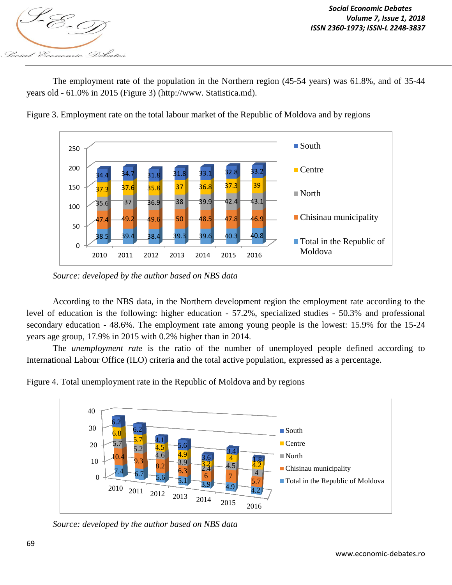

The employment rate of the population in the Northern region (45-54 years) was 61.8%, and of 35-44 years old - 61.0% in 2015 (Figure 3) (http://www. Statistica.md).



Figure 3. Employment rate on the total labour market of the Republic of Moldova and by regions

According to the NBS data, in the Northern development region the employment rate according to the level of education is the following: higher education - 57.2%, specialized studies - 50.3% and professional secondary education - 48.6%. The employment rate among young people is the lowest: 15.9% for the 15-24 years age group, 17.9% in 2015 with 0.2% higher than in 2014.

The *unemployment rate* is the ratio of the number of unemployed people defined according to International Labour Office (ILO) criteria and the total active population, expressed as a percentage.



Figure 4. Total unemployment rate in the Republic of Moldova and by regions

*Source: developed by the author based on NBS data* 

*Source: developed by the author based on NBS data*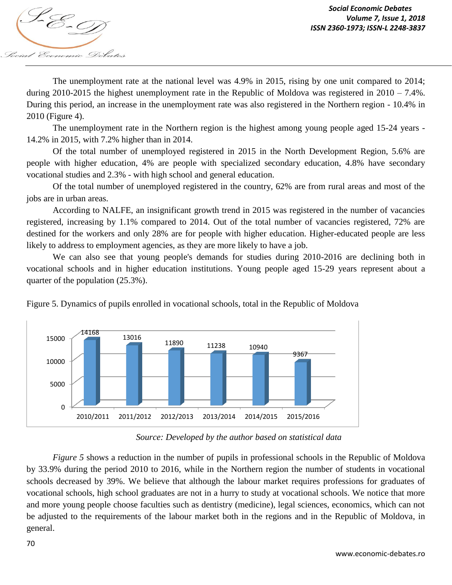

The unemployment rate at the national level was 4.9% in 2015, rising by one unit compared to 2014; during 2010-2015 the highest unemployment rate in the Republic of Moldova was registered in 2010 – 7.4%. During this period, an increase in the unemployment rate was also registered in the Northern region - 10.4% in 2010 (Figure 4).

The unemployment rate in the Northern region is the highest among young people aged 15-24 years - 14.2% in 2015, with 7.2% higher than in 2014.

Of the total number of unemployed registered in 2015 in the North Development Region, 5.6% are people with higher education, 4% are people with specialized secondary education, 4.8% have secondary vocational studies and 2.3% - with high school and general education.

Of the total number of unemployed registered in the country, 62% are from rural areas and most of the jobs are in urban areas.

According to NALFE, an insignificant growth trend in 2015 was registered in the number of vacancies registered, increasing by 1.1% compared to 2014. Out of the total number of vacancies registered, 72% are destined for the workers and only 28% are for people with higher education. Higher-educated people are less likely to address to employment agencies, as they are more likely to have a job.

We can also see that young people's demands for studies during 2010-2016 are declining both in vocational schools and in higher education institutions. Young people aged 15-29 years represent about a quarter of the population (25.3%).





*Source: Developed by the author based on statistical data*

*Figure 5* shows a reduction in the number of pupils in professional schools in the Republic of Moldova by 33.9% during the period 2010 to 2016, while in the Northern region the number of students in vocational schools decreased by 39%. We believe that although the labour market requires professions for graduates of vocational schools, high school graduates are not in a hurry to study at vocational schools. We notice that more and more young people choose faculties such as dentistry (medicine), legal sciences, economics, which can not be adjusted to the requirements of the labour market both in the regions and in the Republic of Moldova, in general.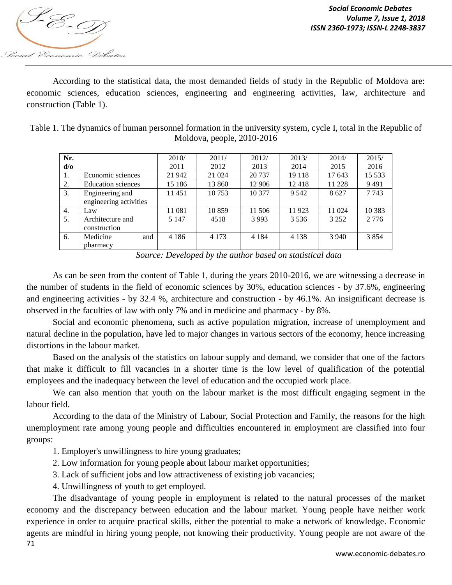

According to the statistical data, the most demanded fields of study in the Republic of Moldova are: economic sciences, education sciences, engineering and engineering activities, law, architecture and construction (Table 1).

| Table 1. The dynamics of human personnel formation in the university system, cycle I, total in the Republic of |
|----------------------------------------------------------------------------------------------------------------|
| Moldova, people, $2010-2016$                                                                                   |

| Nr.            |                           | 2010/   | 2011/   | 2012/   | 2013/   | 2014/   | 2015/    |
|----------------|---------------------------|---------|---------|---------|---------|---------|----------|
| $d$ / $\sigma$ |                           | 2011    | 2012    | 2013    | 2014    | 2015    | 2016     |
| I.             | Economic sciences         | 21 942  | 21 024  | 20 737  | 19 1 18 | 17 643  | 15 5 33  |
| 2.             | <b>Education</b> sciences | 15 186  | 13 860  | 12 906  | 12418   | 11 228  | 9491     |
| 3.             | Engineering and           | 11451   | 10 753  | 10 377  | 9 5 4 2 | 8627    | 7 7 4 3  |
|                | engineering activities    |         |         |         |         |         |          |
| 4.             | Law                       | 11 081  | 10 859  | 11 506  | 11923   | 11 024  | 10 3 8 3 |
| 5.             | Architecture and          | 5 1 4 7 | 4518    | 3 9 9 3 | 3 5 3 6 | 3 2 5 2 | 2 7 7 6  |
|                | construction              |         |         |         |         |         |          |
| 6.             | Medicine<br>and           | 4 1 8 6 | 4 1 7 3 | 4 1 8 4 | 4 1 3 8 | 3 9 4 0 | 3854     |
|                | pharmacy                  |         |         |         |         |         |          |

*Source: Developed by the author based on statistical data*

As can be seen from the content of Table 1, during the years 2010-2016, we are witnessing a decrease in the number of students in the field of economic sciences by 30%, education sciences - by 37.6%, engineering and engineering activities - by 32.4 %, architecture and construction - by 46.1%. An insignificant decrease is observed in the faculties of law with only 7% and in medicine and pharmacy - by 8%.

Social and economic phenomena, such as active population migration, increase of unemployment and natural decline in the population, have led to major changes in various sectors of the economy, hence increasing distortions in the labour market.

Based on the analysis of the statistics on labour supply and demand, we consider that one of the factors that make it difficult to fill vacancies in a shorter time is the low level of qualification of the potential employees and the inadequacy between the level of education and the occupied work place.

We can also mention that youth on the labour market is the most difficult engaging segment in the labour field.

According to the data of the Ministry of Labour, Social Protection and Family, the reasons for the high unemployment rate among young people and difficulties encountered in employment are classified into four groups:

- 1. Employer's unwillingness to hire young graduates;
- 2. Low information for young people about labour market opportunities;
- 3. Lack of sufficient jobs and low attractiveness of existing job vacancies;
- 4. Unwillingness of youth to get employed.

71 The disadvantage of young people in employment is related to the natural processes of the market economy and the discrepancy between education and the labour market. Young people have neither work experience in order to acquire practical skills, either the potential to make a network of knowledge. Economic agents are mindful in hiring young people, not knowing their productivity. Young people are not aware of the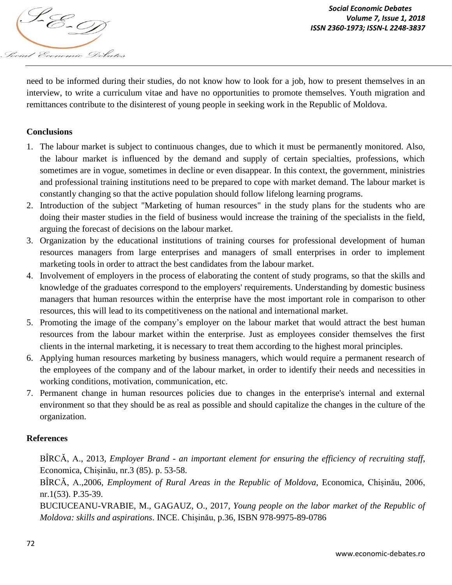*VOIUME 1, ISSN 2360-1973; ISSN-L 2248-3837*<br>ISSN 2360-1973; ISSN-L 2248-3837 Social Economic Debates

need to be informed during their studies, do not know how to look for a job, how to present themselves in an interview, to write a curriculum vitae and have no opportunities to promote themselves. Youth migration and remittances contribute to the disinterest of young people in seeking work in the Republic of Moldova.

# **Conclusions**

- 1. The labour market is subject to continuous changes, due to which it must be permanently monitored. Also, the labour market is influenced by the demand and supply of certain specialties, professions, which sometimes are in vogue, sometimes in decline or even disappear. In this context, the government, ministries and professional training institutions need to be prepared to cope with market demand. The labour market is constantly changing so that the active population should follow lifelong learning programs.
- 2. Introduction of the subject "Marketing of human resources" in the study plans for the students who are doing their master studies in the field of business would increase the training of the specialists in the field, arguing the forecast of decisions on the labour market.
- 3. Organization by the educational institutions of training courses for professional development of human resources managers from large enterprises and managers of small enterprises in order to implement marketing tools in order to attract the best candidates from the labour market.
- 4. Involvement of employers in the process of elaborating the content of study programs, so that the skills and knowledge of the graduates correspond to the employers' requirements. Understanding by domestic business managers that human resources within the enterprise have the most important role in comparison to other resources, this will lead to its competitiveness on the national and international market.
- 5. Promoting the image of the company's employer on the labour market that would attract the best human resources from the labour market within the enterprise. Just as employees consider themselves the first clients in the internal marketing, it is necessary to treat them according to the highest moral principles.
- 6. Applying human resources marketing by business managers, which would require a permanent research of the employees of the company and of the labour market, in order to identify their needs and necessities in working conditions, motivation, communication, etc.
- 7. Permanent change in human resources policies due to changes in the enterprise's internal and external environment so that they should be as real as possible and should capitalize the changes in the culture of the organization.

### **References**

BÎRCĂ, A., 2013, *Employer Brand - an important element for ensuring the efficiency of recruiting staff*, Economica, Chișinău, nr.3 (85). p. 53-58.

BÎRCĂ, A.,2006, *Employment of Rural Areas in the Republic of Moldova*, Economica, Chișinău, 2006, nr.1(53). P.35-39.

BUCIUCEANU-VRABIE, M., GAGAUZ, O., 2017, *Young people on the labor market of the Republic of Moldova: skills and aspirations*. INCE. Chișinău, p.36, ISBN 978-9975-89-0786